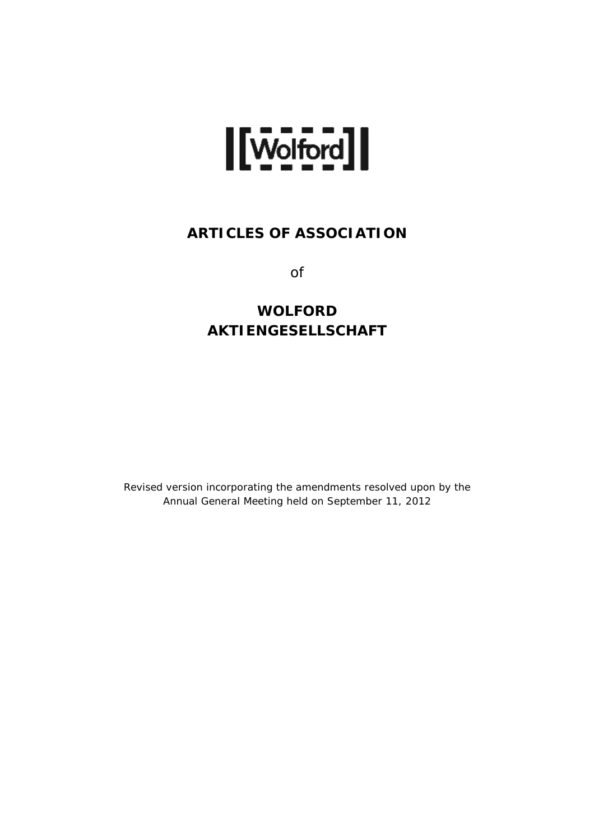

# **ARTICLES OF ASSOCIATION**

of

# **WOLFORD AKTIENGESELLSCHAFT**

Revised version incorporating the amendments resolved upon by the Annual General Meeting held on September 11, 2012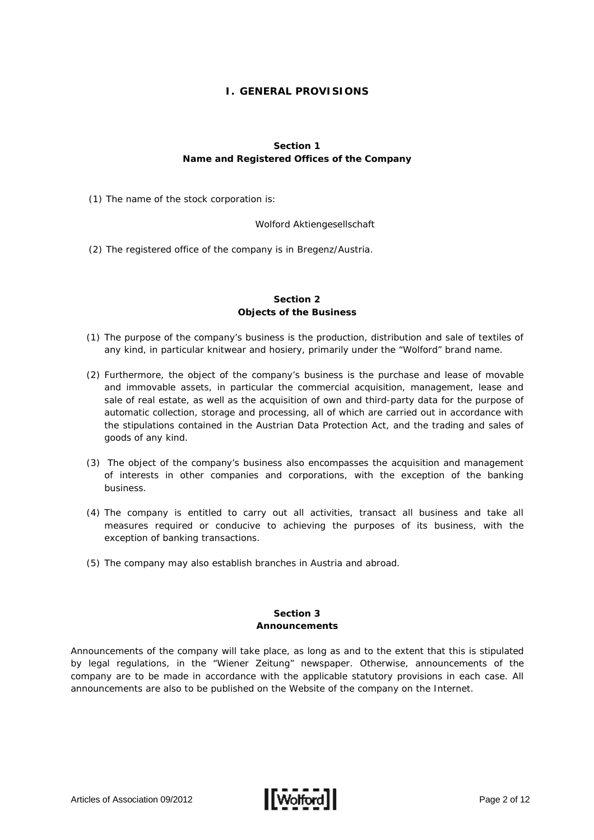# **I. GENERAL PROVISIONS**

# **Section 1 Name and Registered Offices of the Company**

(1) The name of the stock corporation is:

Wolford Aktiengesellschaft

(2) The registered office of the company is in Bregenz/Austria.

# **Section 2 Objects of the Business**

- (1) The purpose of the company's business is the production, distribution and sale of textiles of any kind, in particular knitwear and hosiery, primarily under the "Wolford" brand name.
- (2) Furthermore, the object of the company's business is the purchase and lease of movable and immovable assets, in particular the commercial acquisition, management, lease and sale of real estate, as well as the acquisition of own and third-party data for the purpose of automatic collection, storage and processing, all of which are carried out in accordance with the stipulations contained in the Austrian Data Protection Act, and the trading and sales of goods of any kind.
- (3) The object of the company's business also encompasses the acquisition and management of interests in other companies and corporations, with the exception of the banking business.
- (4) The company is entitled to carry out all activities, transact all business and take all measures required or conducive to achieving the purposes of its business, with the exception of banking transactions.
- (5) The company may also establish branches in Austria and abroad.

# **Section 3 Announcements**

Announcements of the company will take place, as long as and to the extent that this is stipulated by legal regulations, in the "Wiener Zeitung" newspaper. Otherwise, announcements of the company are to be made in accordance with the applicable statutory provisions in each case. All announcements are also to be published on the Website of the company on the Internet.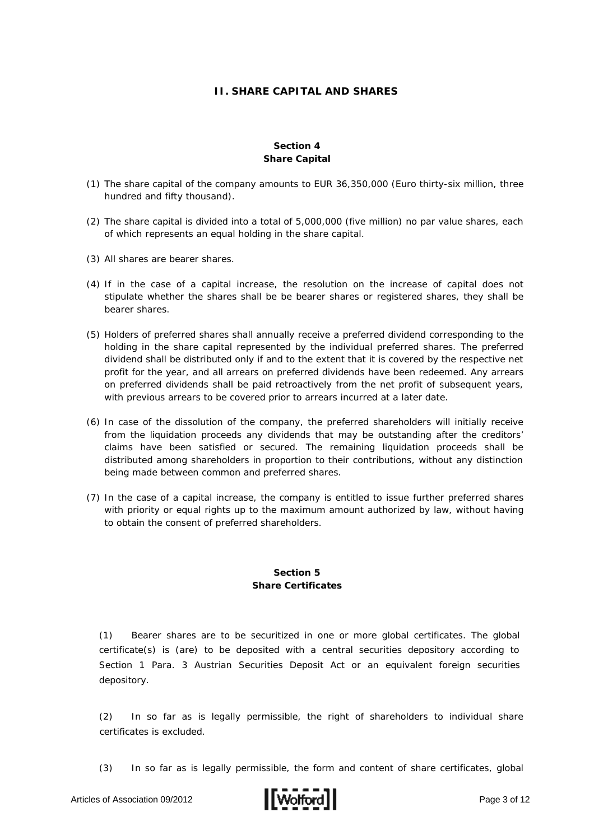# **II. SHARE CAPITAL AND SHARES**

## **Section 4 Share Capital**

- (1) The share capital of the company amounts to EUR 36,350,000 (Euro thirty-six million, three hundred and fifty thousand).
- (2) The share capital is divided into a total of 5,000,000 (five million) no par value shares, each of which represents an equal holding in the share capital.
- (3) All shares are bearer shares.
- (4) If in the case of a capital increase, the resolution on the increase of capital does not stipulate whether the shares shall be be bearer shares or registered shares, they shall be bearer shares.
- (5) Holders of preferred shares shall annually receive a preferred dividend corresponding to the holding in the share capital represented by the individual preferred shares. The preferred dividend shall be distributed only if and to the extent that it is covered by the respective net profit for the year, and all arrears on preferred dividends have been redeemed. Any arrears on preferred dividends shall be paid retroactively from the net profit of subsequent years, with previous arrears to be covered prior to arrears incurred at a later date.
- (6) In case of the dissolution of the company, the preferred shareholders will initially receive from the liquidation proceeds any dividends that may be outstanding after the creditors' claims have been satisfied or secured. The remaining liquidation proceeds shall be distributed among shareholders in proportion to their contributions, without any distinction being made between common and preferred shares.
- (7) In the case of a capital increase, the company is entitled to issue further preferred shares with priority or equal rights up to the maximum amount authorized by law, without having to obtain the consent of preferred shareholders.

#### **Section 5 Share Certificates**

(1) Bearer shares are to be securitized in one or more global certificates. The global certificate(s) is (are) to be deposited with a central securities depository according to Section 1 Para. 3 Austrian Securities Deposit Act or an equivalent foreign securities depository.

(2) In so far as is legally permissible, the right of shareholders to individual share certificates is excluded.

(3) In so far as is legally permissible, the form and content of share certificates, global

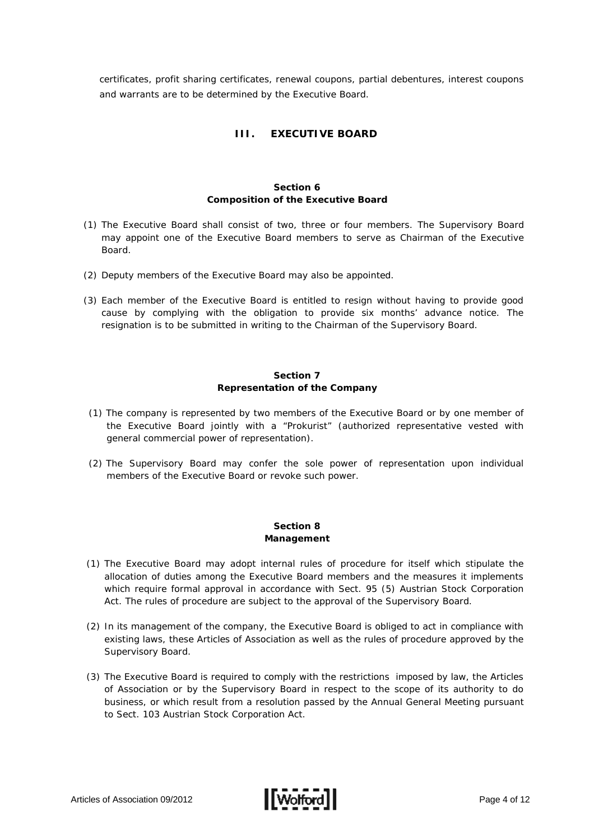certificates, profit sharing certificates, renewal coupons, partial debentures, interest coupons and warrants are to be determined by the Executive Board.

# **III. EXECUTIVE BOARD**

#### **Section 6 Composition of the Executive Board**

- (1) The Executive Board shall consist of two, three or four members. The Supervisory Board may appoint one of the Executive Board members to serve as Chairman of the Executive Board.
- (2) Deputy members of the Executive Board may also be appointed.
- (3) Each member of the Executive Board is entitled to resign without having to provide good cause by complying with the obligation to provide six months' advance notice. The resignation is to be submitted in writing to the Chairman of the Supervisory Board.

# **Section 7 Representation of the Company**

- (1) The company is represented by two members of the Executive Board or by one member of the Executive Board jointly with a "Prokurist" (authorized representative vested with general commercial power of representation).
- (2) The Supervisory Board may confer the sole power of representation upon individual members of the Executive Board or revoke such power.

#### **Section 8 Management**

- (1) The Executive Board may adopt internal rules of procedure for itself which stipulate the allocation of duties among the Executive Board members and the measures it implements which require formal approval in accordance with Sect. 95 (5) Austrian Stock Corporation Act. The rules of procedure are subject to the approval of the Supervisory Board.
- (2) In its management of the company, the Executive Board is obliged to act in compliance with existing laws, these Articles of Association as well as the rules of procedure approved by the Supervisory Board.
- (3) The Executive Board is required to comply with the restrictions imposed by law, the Articles of Association or by the Supervisory Board in respect to the scope of its authority to do business, or which result from a resolution passed by the Annual General Meeting pursuant to Sect. 103 Austrian Stock Corporation Act.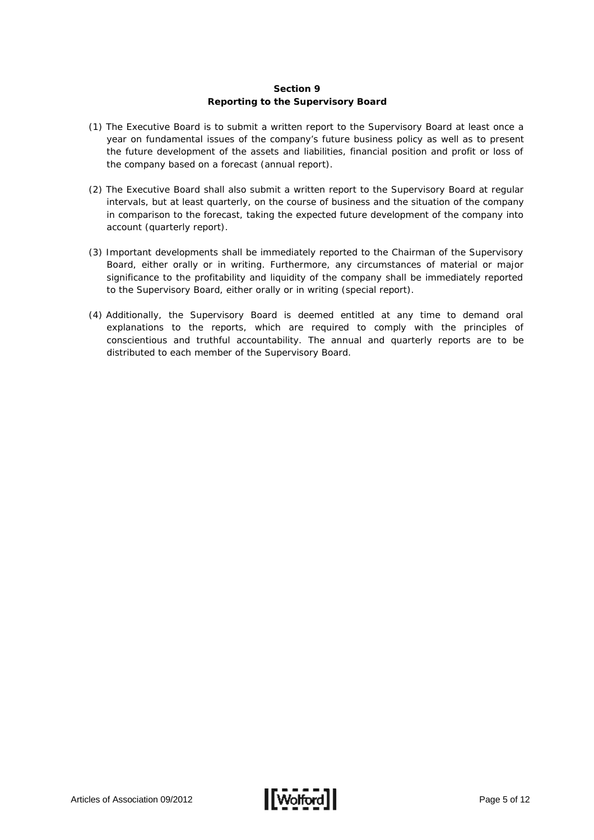## **Section 9 Reporting to the Supervisory Board**

- (1) The Executive Board is to submit a written report to the Supervisory Board at least once a year on fundamental issues of the company's future business policy as well as to present the future development of the assets and liabilities, financial position and profit or loss of the company based on a forecast (annual report).
- (2) The Executive Board shall also submit a written report to the Supervisory Board at regular intervals, but at least quarterly, on the course of business and the situation of the company in comparison to the forecast, taking the expected future development of the company into account (quarterly report).
- (3) Important developments shall be immediately reported to the Chairman of the Supervisory Board, either orally or in writing. Furthermore, any circumstances of material or major significance to the profitability and liquidity of the company shall be immediately reported to the Supervisory Board, either orally or in writing (special report).
- (4) Additionally, the Supervisory Board is deemed entitled at any time to demand oral explanations to the reports, which are required to comply with the principles of conscientious and truthful accountability. The annual and quarterly reports are to be distributed to each member of the Supervisory Board.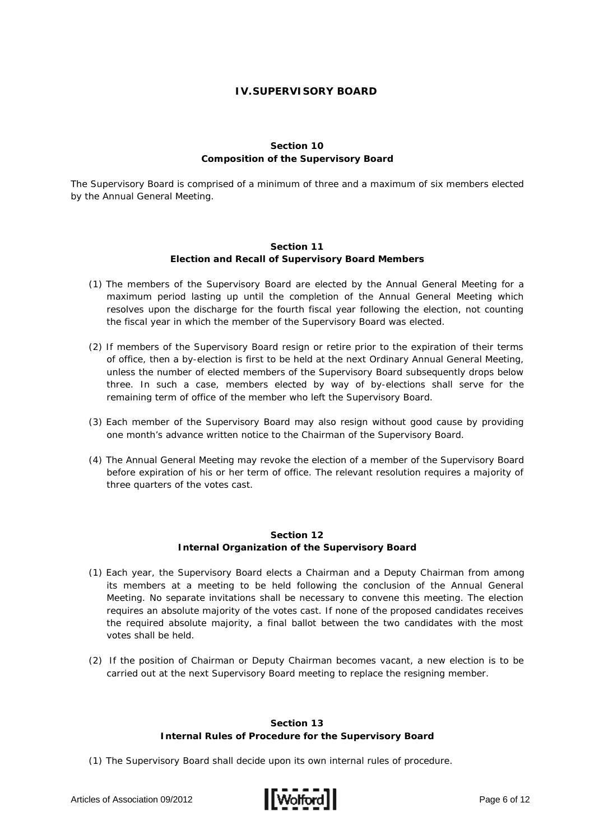## **IV.SUPERVISORY BOARD**

#### **Section 10 Composition of the Supervisory Board**

The Supervisory Board is comprised of a minimum of three and a maximum of six members elected by the Annual General Meeting.

#### **Section 11 Election and Recall of Supervisory Board Members**

- (1) The members of the Supervisory Board are elected by the Annual General Meeting for a maximum period lasting up until the completion of the Annual General Meeting which resolves upon the discharge for the fourth fiscal year following the election, not counting the fiscal year in which the member of the Supervisory Board was elected.
- (2) If members of the Supervisory Board resign or retire prior to the expiration of their terms of office, then a by-election is first to be held at the next Ordinary Annual General Meeting, unless the number of elected members of the Supervisory Board subsequently drops below three. In such a case, members elected by way of by-elections shall serve for the remaining term of office of the member who left the Supervisory Board.
- (3) Each member of the Supervisory Board may also resign without good cause by providing one month's advance written notice to the Chairman of the Supervisory Board.
- (4) The Annual General Meeting may revoke the election of a member of the Supervisory Board before expiration of his or her term of office. The relevant resolution requires a majority of three quarters of the votes cast.

#### **Section 12 Internal Organization of the Supervisory Board**

- (1) Each year, the Supervisory Board elects a Chairman and a Deputy Chairman from among its members at a meeting to be held following the conclusion of the Annual General Meeting. No separate invitations shall be necessary to convene this meeting. The election requires an absolute majority of the votes cast. If none of the proposed candidates receives the required absolute majority, a final ballot between the two candidates with the most votes shall be held.
- (2) If the position of Chairman or Deputy Chairman becomes vacant, a new election is to be carried out at the next Supervisory Board meeting to replace the resigning member.

#### **Section 13 Internal Rules of Procedure for the Supervisory Board**

(1) The Supervisory Board shall decide upon its own internal rules of procedure.

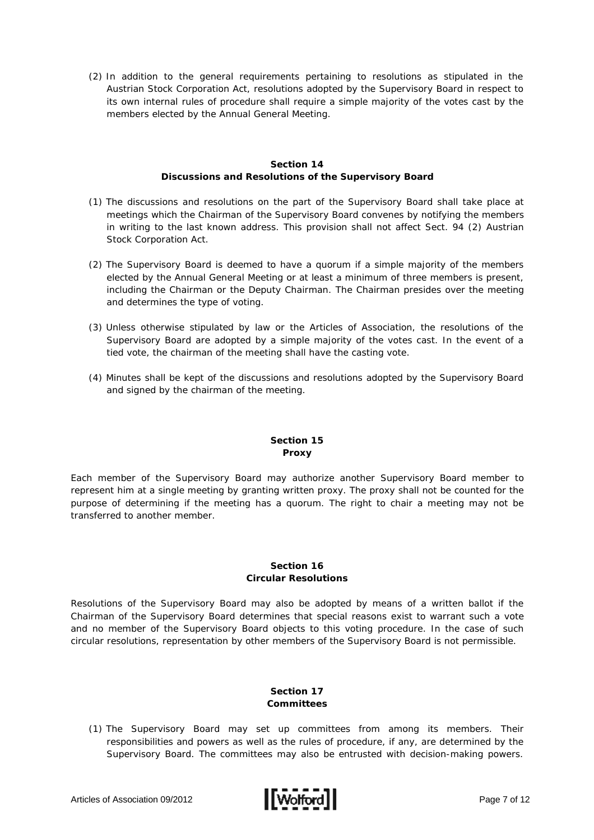(2) In addition to the general requirements pertaining to resolutions as stipulated in the Austrian Stock Corporation Act, resolutions adopted by the Supervisory Board in respect to its own internal rules of procedure shall require a simple majority of the votes cast by the members elected by the Annual General Meeting.

## **Section 14 Discussions and Resolutions of the Supervisory Board**

- (1) The discussions and resolutions on the part of the Supervisory Board shall take place at meetings which the Chairman of the Supervisory Board convenes by notifying the members in writing to the last known address. This provision shall not affect Sect. 94 (2) Austrian Stock Corporation Act.
- (2) The Supervisory Board is deemed to have a quorum if a simple majority of the members elected by the Annual General Meeting or at least a minimum of three members is present, including the Chairman or the Deputy Chairman. The Chairman presides over the meeting and determines the type of voting.
- (3) Unless otherwise stipulated by law or the Articles of Association, the resolutions of the Supervisory Board are adopted by a simple majority of the votes cast. In the event of a tied vote, the chairman of the meeting shall have the casting vote.
- (4) Minutes shall be kept of the discussions and resolutions adopted by the Supervisory Board and signed by the chairman of the meeting.

# **Section 15 Proxy**

Each member of the Supervisory Board may authorize another Supervisory Board member to represent him at a single meeting by granting written proxy. The proxy shall not be counted for the purpose of determining if the meeting has a quorum. The right to chair a meeting may not be transferred to another member.

#### **Section 16 Circular Resolutions**

Resolutions of the Supervisory Board may also be adopted by means of a written ballot if the Chairman of the Supervisory Board determines that special reasons exist to warrant such a vote and no member of the Supervisory Board objects to this voting procedure. In the case of such circular resolutions, representation by other members of the Supervisory Board is not permissible.

# **Section 17 Committees**

(1) The Supervisory Board may set up committees from among its members. Their responsibilities and powers as well as the rules of procedure, if any, are determined by the Supervisory Board. The committees may also be entrusted with decision-making powers.

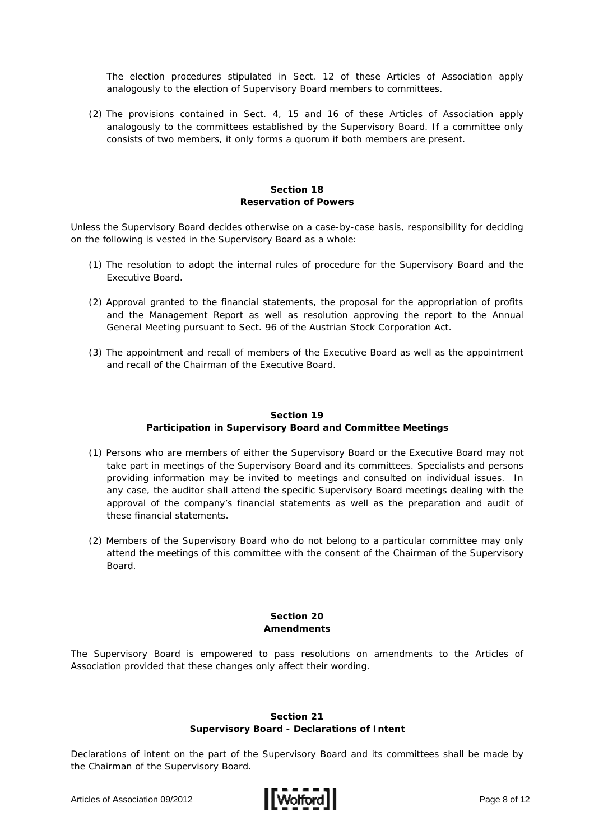The election procedures stipulated in Sect. 12 of these Articles of Association apply analogously to the election of Supervisory Board members to committees.

(2) The provisions contained in Sect. 4, 15 and 16 of these Articles of Association apply analogously to the committees established by the Supervisory Board. If a committee only consists of two members, it only forms a quorum if both members are present.

#### **Section 18 Reservation of Powers**

Unless the Supervisory Board decides otherwise on a case-by-case basis, responsibility for deciding on the following is vested in the Supervisory Board as a whole:

- (1) The resolution to adopt the internal rules of procedure for the Supervisory Board and the Executive Board.
- (2) Approval granted to the financial statements, the proposal for the appropriation of profits and the Management Report as well as resolution approving the report to the Annual General Meeting pursuant to Sect. 96 of the Austrian Stock Corporation Act.
- (3) The appointment and recall of members of the Executive Board as well as the appointment and recall of the Chairman of the Executive Board.

#### **Section 19 Participation in Supervisory Board and Committee Meetings**

- (1) Persons who are members of either the Supervisory Board or the Executive Board may not take part in meetings of the Supervisory Board and its committees. Specialists and persons providing information may be invited to meetings and consulted on individual issues. In any case, the auditor shall attend the specific Supervisory Board meetings dealing with the approval of the company's financial statements as well as the preparation and audit of these financial statements.
- (2) Members of the Supervisory Board who do not belong to a particular committee may only attend the meetings of this committee with the consent of the Chairman of the Supervisory Board.

#### **Section 20 Amendments**

The Supervisory Board is empowered to pass resolutions on amendments to the Articles of Association provided that these changes only affect their wording.

#### **Section 21 Supervisory Board - Declarations of Intent**

Declarations of intent on the part of the Supervisory Board and its committees shall be made by the Chairman of the Supervisory Board.

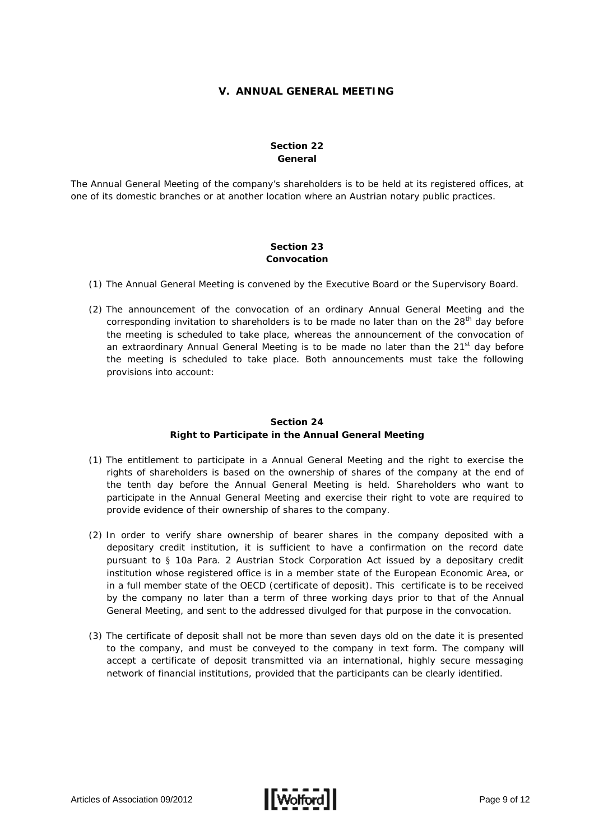### **V. ANNUAL GENERAL MEETING**

## **Section 22 General**

The Annual General Meeting of the company's shareholders is to be held at its registered offices, at one of its domestic branches or at another location where an Austrian notary public practices.

#### **Section 23 Convocation**

- (1) The Annual General Meeting is convened by the Executive Board or the Supervisory Board.
- (2) The announcement of the convocation of an ordinary Annual General Meeting and the corresponding invitation to shareholders is to be made no later than on the 28<sup>th</sup> day before the meeting is scheduled to take place, whereas the announcement of the convocation of an extraordinary Annual General Meeting is to be made no later than the  $21^{st}$  day before the meeting is scheduled to take place. Both announcements must take the following provisions into account:

#### **Section 24**

#### **Right to Participate in the Annual General Meeting**

- (1) The entitlement to participate in a Annual General Meeting and the right to exercise the rights of shareholders is based on the ownership of shares of the company at the end of the tenth day before the Annual General Meeting is held. Shareholders who want to participate in the Annual General Meeting and exercise their right to vote are required to provide evidence of their ownership of shares to the company.
- (2) In order to verify share ownership of bearer shares in the company deposited with a depositary credit institution, it is sufficient to have a confirmation on the record date pursuant to § 10a Para. 2 Austrian Stock Corporation Act issued by a depositary credit institution whose registered office is in a member state of the European Economic Area, or in a full member state of the OECD (certificate of deposit). This certificate is to be received by the company no later than a term of three working days prior to that of the Annual General Meeting, and sent to the addressed divulged for that purpose in the convocation.
- (3) The certificate of deposit shall not be more than seven days old on the date it is presented to the company, and must be conveyed to the company in text form. The company will accept a certificate of deposit transmitted via an international, highly secure messaging network of financial institutions, provided that the participants can be clearly identified.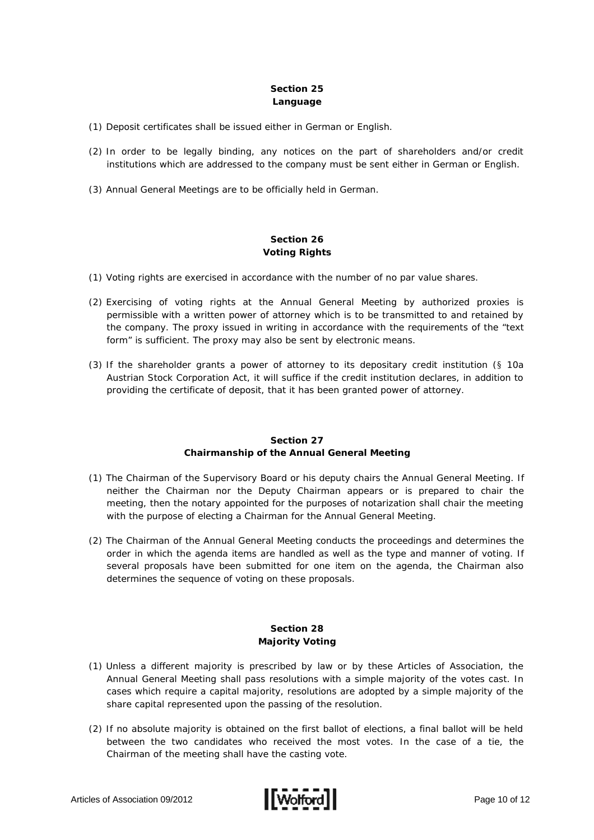## **Section 25 Language**

- (1) Deposit certificates shall be issued either in German or English.
- (2) In order to be legally binding, any notices on the part of shareholders and/or credit institutions which are addressed to the company must be sent either in German or English.
- (3) Annual General Meetings are to be officially held in German.

#### **Section 26 Voting Rights**

- (1) Voting rights are exercised in accordance with the number of no par value shares.
- (2) Exercising of voting rights at the Annual General Meeting by authorized proxies is permissible with a written power of attorney which is to be transmitted to and retained by the company. The proxy issued in writing in accordance with the requirements of the "text form" is sufficient. The proxy may also be sent by electronic means.
- (3) If the shareholder grants a power of attorney to its depositary credit institution (§ 10a Austrian Stock Corporation Act, it will suffice if the credit institution declares, in addition to providing the certificate of deposit, that it has been granted power of attorney.

# **Section 27 Chairmanship of the Annual General Meeting**

- (1) The Chairman of the Supervisory Board or his deputy chairs the Annual General Meeting. If neither the Chairman nor the Deputy Chairman appears or is prepared to chair the meeting, then the notary appointed for the purposes of notarization shall chair the meeting with the purpose of electing a Chairman for the Annual General Meeting.
- (2) The Chairman of the Annual General Meeting conducts the proceedings and determines the order in which the agenda items are handled as well as the type and manner of voting. If several proposals have been submitted for one item on the agenda, the Chairman also determines the sequence of voting on these proposals.

# **Section 28 Majority Voting**

- (1) Unless a different majority is prescribed by law or by these Articles of Association, the Annual General Meeting shall pass resolutions with a simple majority of the votes cast. In cases which require a capital majority, resolutions are adopted by a simple majority of the share capital represented upon the passing of the resolution.
- (2) If no absolute majority is obtained on the first ballot of elections, a final ballot will be held between the two candidates who received the most votes. In the case of a tie, the Chairman of the meeting shall have the casting vote.

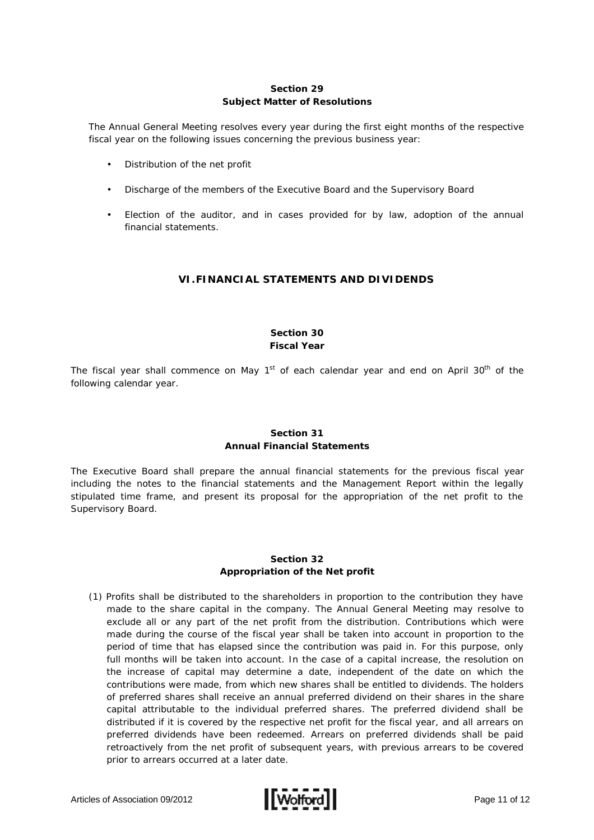## **Section 29 Subject Matter of Resolutions**

The Annual General Meeting resolves every year during the first eight months of the respective fiscal year on the following issues concerning the previous business year:

- Distribution of the net profit
- Discharge of the members of the Executive Board and the Supervisory Board
- Election of the auditor, and in cases provided for by law, adoption of the annual financial statements.

# **VI.FINANCIAL STATEMENTS AND DIVIDENDS**

#### **Section 30 Fiscal Year**

The fiscal year shall commence on May  $1<sup>st</sup>$  of each calendar year and end on April 30<sup>th</sup> of the following calendar year.

# **Section 31 Annual Financial Statements**

The Executive Board shall prepare the annual financial statements for the previous fiscal year including the notes to the financial statements and the Management Report within the legally stipulated time frame, and present its proposal for the appropriation of the net profit to the Supervisory Board.

# **Section 32 Appropriation of the Net profit**

(1) Profits shall be distributed to the shareholders in proportion to the contribution they have made to the share capital in the company. The Annual General Meeting may resolve to exclude all or any part of the net profit from the distribution. Contributions which were made during the course of the fiscal year shall be taken into account in proportion to the period of time that has elapsed since the contribution was paid in. For this purpose, only full months will be taken into account. In the case of a capital increase, the resolution on the increase of capital may determine a date, independent of the date on which the contributions were made, from which new shares shall be entitled to dividends. The holders of preferred shares shall receive an annual preferred dividend on their shares in the share capital attributable to the individual preferred shares. The preferred dividend shall be distributed if it is covered by the respective net profit for the fiscal year, and all arrears on preferred dividends have been redeemed. Arrears on preferred dividends shall be paid retroactively from the net profit of subsequent years, with previous arrears to be covered prior to arrears occurred at a later date.